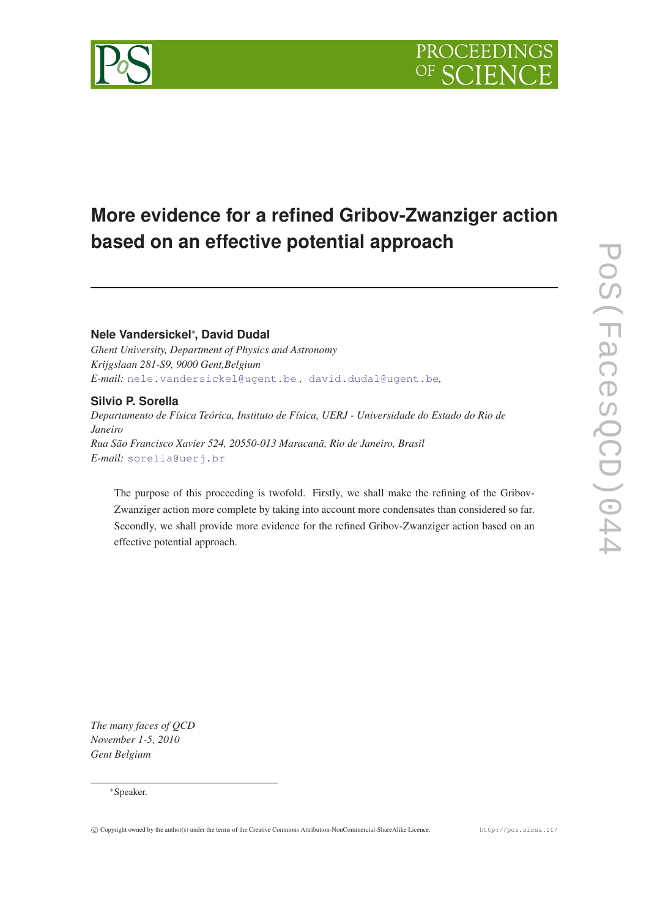

# **More evidence for a refined Gribov-Zwanziger action based on an effective potential approach**

# **Nele Vandersickel**<sup>∗</sup> **, David Dudal**

*Ghent University, Department of Physics and Astronomy Krijgslaan 281-S9, 9000 Gent,Belgium E-mail:* [nele.vandersickel@ugent.be](mailto:nele.vandersickel@ugent.be) *,* [david.dudal@ugent.be](mailto: david.dudal@ugent.be)*,*

### **Silvio P. Sorella**

*Departamento de Física Teórica, Instituto de Física, UERJ - Universidade do Estado do Rio de Janeiro Rua São Francisco Xavier 524, 20550-013 Maracanã, Rio de Janeiro, Brasil E-mail:* [sorella@uerj.br](mailto:sorella@uerj.br)

The purpose of this proceeding is twofold. Firstly, we shall make the refining of the Gribov-Zwanziger action more complete by taking into account more condensates than considered so far. Secondly, we shall provide more evidence for the refined Gribov-Zwanziger action based on an effective potential approach.

*The many faces of QCD November 1-5, 2010 Gent Belgium*

### <sup>∗</sup>Speaker.

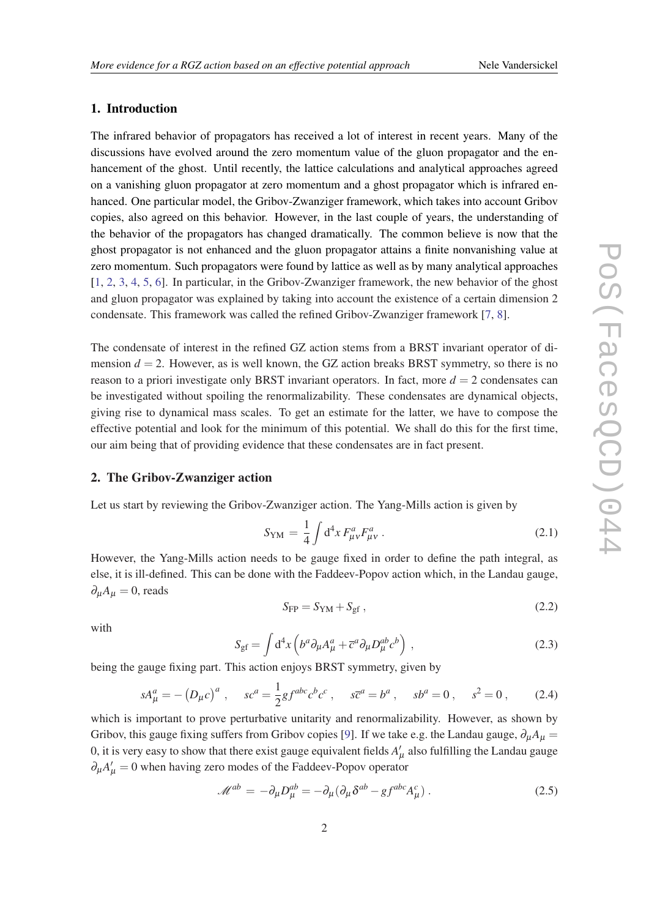## 1. Introduction

The infrared behavior of propagators has received a lot of interest in recent years. Many of the discussions have evolved around the zero momentum value of the gluon propagator and the enhancement of the ghost. Until recently, the lattice calculations and analytical approaches agreed on a vanishing gluon propagator at zero momentum and a ghost propagator which is infrared enhanced. One particular model, the Gribov-Zwanziger framework, which takes into account Gribov copies, also agreed on this behavior. However, in the last couple of years, the understanding of the behavior of the propagators has changed dramatically. The common believe is now that the ghost propagator is not enhanced and the gluon propagator attains a finite nonvanishing value at zero momentum. Such propagators were found by lattice as well as by many analytical approaches [[1](#page-7-0), [2,](#page-7-0) [3,](#page-7-0) [4,](#page-7-0) [5,](#page-7-0) [6\]](#page-7-0). In particular, in the Gribov-Zwanziger framework, the new behavior of the ghost and gluon propagator was explained by taking into account the existence of a certain dimension 2 condensate. This framework was called the refined Gribov-Zwanziger framework [\[7,](#page-7-0) [8\]](#page-7-0).

The condensate of interest in the refined GZ action stems from a BRST invariant operator of dimension  $d = 2$ . However, as is well known, the GZ action breaks BRST symmetry, so there is no reason to a priori investigate only BRST invariant operators. In fact, more  $d = 2$  condensates can be investigated without spoiling the renormalizability. These condensates are dynamical objects, giving rise to dynamical mass scales. To get an estimate for the latter, we have to compose the effective potential and look for the minimum of this potential. We shall do this for the first time, our aim being that of providing evidence that these condensates are in fact present.

## 2. The Gribov-Zwanziger action

Let us start by reviewing the Gribov-Zwanziger action. The Yang-Mills action is given by

$$
S_{\rm YM} = \frac{1}{4} \int d^4 x F^a_{\mu\nu} F^a_{\mu\nu} \,. \tag{2.1}
$$

However, the Yang-Mills action needs to be gauge fixed in order to define the path integral, as else, it is ill-defined. This can be done with the Faddeev-Popov action which, in the Landau gauge,  $\partial_{\mu}A_{\mu}=0$ , reads

$$
S_{\rm FP} = S_{\rm YM} + S_{\rm gf} \,,\tag{2.2}
$$

with

$$
S_{\rm gf} = \int d^4x \left( b^a \partial_\mu A^a_\mu + \overline{c}^a \partial_\mu D^{ab}_\mu c^b \right) , \qquad (2.3)
$$

being the gauge fixing part. This action enjoys BRST symmetry, given by

$$
sA^a_\mu = -\left(D_\mu c\right)^a, \quad sc^a = \frac{1}{2}gf^{abc}c^bc^c, \quad s\overline{c}^a = b^a, \quad sb^a = 0, \quad s^2 = 0,\tag{2.4}
$$

which is important to prove perturbative unitarity and renormalizability. However, as shown by Gribov, this gauge fixing suffers from Gribov copies [\[9\]](#page-7-0). If we take e.g. the Landau gauge,  $\partial_{\mu}A_{\mu} =$ 0, it is very easy to show that there exist gauge equivalent fields  $A'_\mu$  also fulfilling the Landau gauge  $\partial_{\mu}A'_{\mu} = 0$  when having zero modes of the Faddeev-Popov operator

$$
\mathcal{M}^{ab} = -\partial_{\mu}D_{\mu}^{ab} = -\partial_{\mu}(\partial_{\mu}\delta^{ab} - gf^{abc}A_{\mu}^{c})\,. \tag{2.5}
$$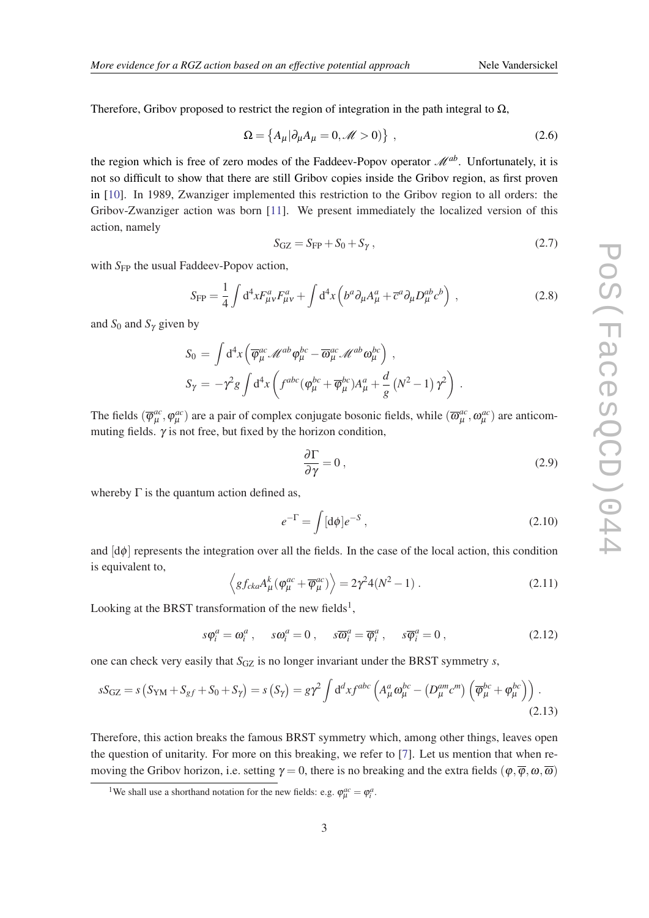<span id="page-2-0"></span>Therefore, Gribov proposed to restrict the region of integration in the path integral to  $\Omega$ ,

$$
\Omega = \left\{ A_{\mu} | \partial_{\mu} A_{\mu} = 0, \mathscr{M} > 0 \right\} \,, \tag{2.6}
$$

the region which is free of zero modes of the Faddeev-Popov operator  $\mathcal{M}^{ab}$ . Unfortunately, it is not so difficult to show that there are still Gribov copies inside the Gribov region, as first proven in [\[10](#page-7-0)]. In 1989, Zwanziger implemented this restriction to the Gribov region to all orders: the Gribov-Zwanziger action was born [\[11\]](#page-7-0). We present immediately the localized version of this action, namely

$$
S_{\rm GZ} = S_{\rm FP} + S_0 + S_{\gamma} \,,\tag{2.7}
$$

with *S*<sub>FP</sub> the usual Faddeev-Popov action,

$$
S_{\rm FP} = \frac{1}{4} \int d^4x F^a_{\mu\nu} F^a_{\mu\nu} + \int d^4x \left( b^a \partial_\mu A^a_\mu + \overline{c}^a \partial_\mu D^{ab}_\mu c^b \right) , \qquad (2.8)
$$

and  $S_0$  and  $S_\gamma$  given by

$$
S_0 = \int d^4x \left( \overline{\varphi}^{ac}_{\mu} \mathscr{M}^{ab} \varphi^{bc}_{\mu} - \overline{\omega}^{ac}_{\mu} \mathscr{M}^{ab} \omega^{bc}_{\mu} \right) ,
$$
  
\n
$$
S_{\gamma} = -\gamma^2 g \int d^4x \left( f^{abc} (\varphi^{bc}_{\mu} + \overline{\varphi}^{bc}_{\mu}) A^a_{\mu} + \frac{d}{g} (N^2 - 1) \gamma^2 \right) .
$$

The fields  $(\overline{\varphi}_{\mu}^{ac})$  $\phi_{\mu}^{ac}, \phi_{\mu}^{ac}$ ) are a pair of complex conjugate bosonic fields, while  $(\overline{\omega}_{\mu}^{ac}, \omega_{\mu}^{ac})$  are anticommuting fields.  $\gamma$  is not free, but fixed by the horizon condition,

$$
\frac{\partial \Gamma}{\partial \gamma} = 0 \,, \tag{2.9}
$$

whereby  $\Gamma$  is the quantum action defined as,

$$
e^{-\Gamma} = \int [d\phi]e^{-S},\qquad(2.10)
$$

and  $\left[\frac{d\phi}{dt}\right]$  represents the integration over all the fields. In the case of the local action, this condition is equivalent to,

$$
\left\langle g f_{cka} A^k_\mu (\varphi_\mu^{ac} + \overline{\varphi}_\mu^{ac}) \right\rangle = 2\gamma^2 4(N^2 - 1) \,. \tag{2.11}
$$

Looking at the BRST transformation of the new fields<sup>1</sup>,

$$
s\varphi_i^a = \omega_i^a, \quad s\omega_i^a = 0, \quad s\overline{\omega}_i^a = \overline{\varphi}_i^a, \quad s\overline{\varphi}_i^a = 0,
$$
 (2.12)

one can check very easily that *S*<sub>GZ</sub> is no longer invariant under the BRST symmetry *s*,

$$
sS_{\text{GZ}} = s\left(S_{\text{YM}} + S_{\text{gf}} + S_0 + S_{\gamma}\right) = s\left(S_{\gamma}\right) = g\gamma^2 \int d^d x f^{abc} \left(A^a_{\mu}\omega^{bc}_{\mu} - \left(D^{am}_{\mu}c^m\right)\left(\overline{\varphi}^{bc}_{\mu} + \varphi^{bc}_{\mu}\right)\right). \tag{2.13}
$$

Therefore, this action breaks the famous BRST symmetry which, among other things, leaves open the question of unitarity. For more on this breaking, we refer to [\[7](#page-7-0)]. Let us mention that when removing the Gribov horizon, i.e. setting  $\gamma = 0$ , there is no breaking and the extra fields  $(\varphi, \overline{\varphi}, \omega, \overline{\omega})$ 

<sup>&</sup>lt;sup>1</sup>We shall use a shorthand notation for the new fields: e.g.  $\varphi_{\mu}^{ac} = \varphi_i^a$ .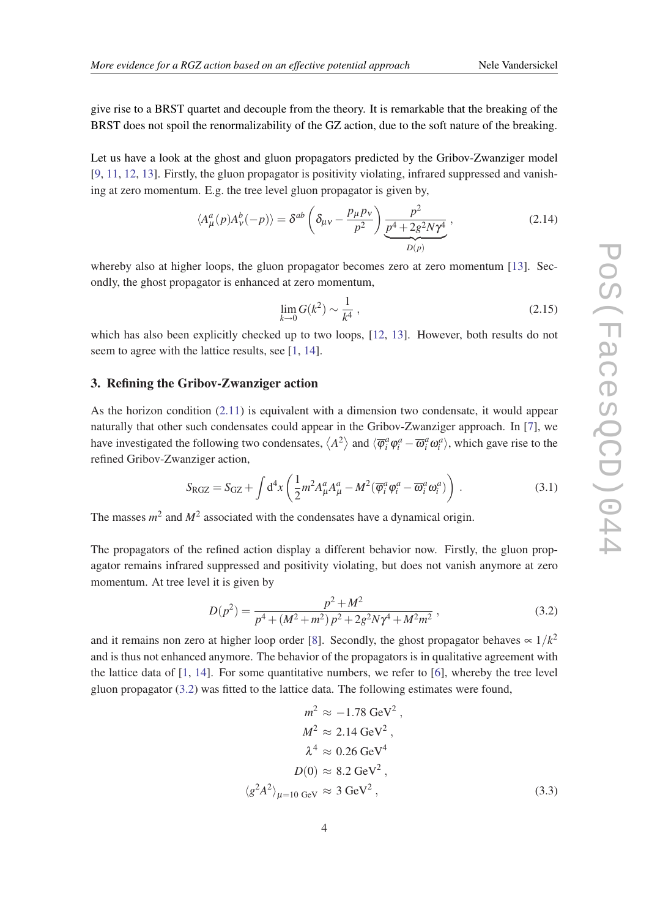<span id="page-3-0"></span>give rise to a BRST quartet and decouple from the theory. It is remarkable that the breaking of the BRST does not spoil the renormalizability of the GZ action, due to the soft nature of the breaking.

Let us have a look at the ghost and gluon propagators predicted by the Gribov-Zwanziger model [[9](#page-7-0), [11,](#page-7-0) [12,](#page-7-0) [13\]](#page-7-0). Firstly, the gluon propagator is positivity violating, infrared suppressed and vanishing at zero momentum. E.g. the tree level gluon propagator is given by,

$$
\langle A^a_\mu(p) A^b_\nu(-p) \rangle = \delta^{ab} \left( \delta_{\mu\nu} - \frac{p_\mu p_\nu}{p^2} \right) \underbrace{\frac{p^2}{p^4 + 2g^2 N \gamma^4}}_{D(p)},\tag{2.14}
$$

whereby also at higher loops, the gluon propagator becomes zero at zero momentum [\[13](#page-7-0)]. Secondly, the ghost propagator is enhanced at zero momentum,

$$
\lim_{k \to 0} G(k^2) \sim \frac{1}{k^4} \,,
$$
\n(2.15)

which has also been explicitly checked up to two loops, [[12,](#page-7-0) [13](#page-7-0)]. However, both results do not seem to agree with the lattice results, see [[1](#page-7-0), [14\]](#page-7-0).

## 3. Refining the Gribov-Zwanziger action

As the horizon condition [\(2.11](#page-2-0)) is equivalent with a dimension two condensate, it would appear naturally that other such condensates could appear in the Gribov-Zwanziger approach. In [\[7\]](#page-7-0), we have investigated the following two condensates,  $\langle A^2 \rangle$  and  $\langle \overline{\phi}_i^a \phi_i^a - \overline{\omega}_i^a \omega_i^a \rangle$ , which gave rise to the refined Gribov-Zwanziger action,

$$
S_{\rm RGZ} = S_{\rm GZ} + \int d^4x \left( \frac{1}{2} m^2 A^a_\mu A^a_\mu - M^2 (\overline{\varphi}^a_i \varphi^a_i - \overline{\omega}^a_i \omega^a_i) \right) \,. \tag{3.1}
$$

The masses  $m^2$  and  $M^2$  associated with the condensates have a dynamical origin.

The propagators of the refined action display a different behavior now. Firstly, the gluon propagator remains infrared suppressed and positivity violating, but does not vanish anymore at zero momentum. At tree level it is given by

$$
D(p^2) = \frac{p^2 + M^2}{p^4 + (M^2 + m^2)p^2 + 2g^2N\gamma^4 + M^2m^2},
$$
\n(3.2)

and it remains non zero at higher loop order [\[8\]](#page-7-0). Secondly, the ghost propagator behaves  $\propto 1/k^2$ and is thus not enhanced anymore. The behavior of the propagators is in qualitative agreement with the lattice data of [\[1,](#page-7-0) [14\]](#page-7-0). For some quantitative numbers, we refer to [[6](#page-7-0)], whereby the tree level gluon propagator (3.2) was fitted to the lattice data. The following estimates were found,

$$
m^{2} \approx -1.78 \text{ GeV}^{2},
$$
  
\n
$$
M^{2} \approx 2.14 \text{ GeV}^{2},
$$
  
\n
$$
\lambda^{4} \approx 0.26 \text{ GeV}^{4}
$$
  
\n
$$
D(0) \approx 8.2 \text{ GeV}^{2},
$$
  
\n
$$
g^{2}A^{2}\rangle_{\mu=10 \text{ GeV}} \approx 3 \text{ GeV}^{2},
$$
\n(3.3)

 $\langle$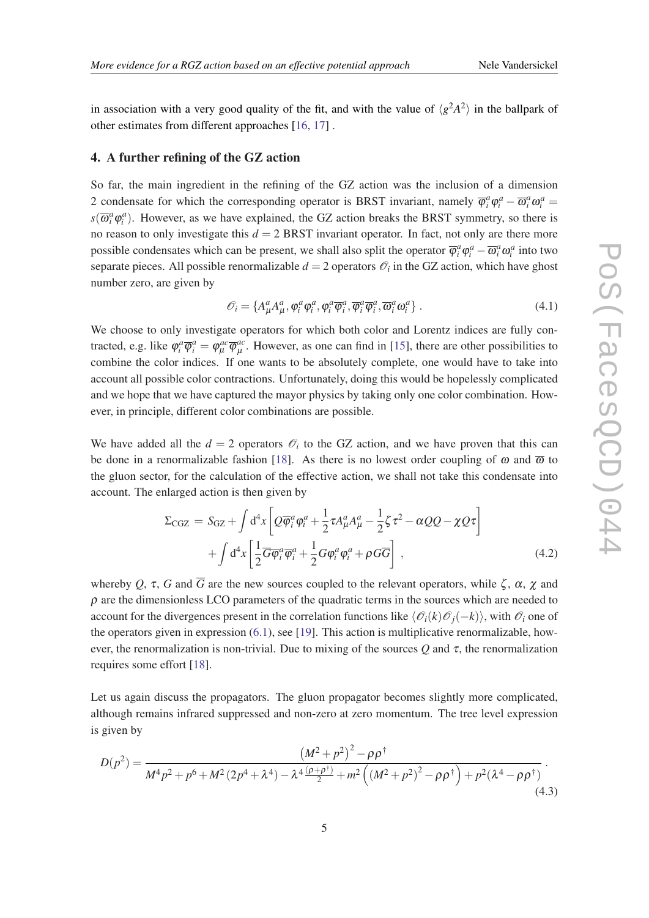in association with a very good quality of the fit, and with the value of  $\langle g^2 A^2 \rangle$  in the ballpark of other estimates from different approaches [\[16](#page-7-0), [17](#page-7-0)] .

#### 4. A further refining of the GZ action

So far, the main ingredient in the refining of the GZ action was the inclusion of a dimension 2 condensate for which the corresponding operator is BRST invariant, namely  $\overline{\varphi}_i^a \varphi_i^a - \overline{\omega}_i^a \omega_i^a =$  $s(\overline{\omega}_i^a \varphi_i^a)$ . However, as we have explained, the GZ action breaks the BRST symmetry, so there is no reason to only investigate this  $d = 2$  BRST invariant operator. In fact, not only are there more possible condensates which can be present, we shall also split the operator  $\overline{\varphi}_i^a \varphi_i^a - \overline{\omega}_i^a \omega_i^a$  into two separate pieces. All possible renormalizable  $d = 2$  operators  $\mathcal{O}_i$  in the GZ action, which have ghost number zero, are given by

$$
\mathcal{O}_i = \{A^a_\mu A^a_\mu, \varphi^a_i \varphi^a_i, \varphi^a_i \overline{\varphi}^a_i, \overline{\varphi}^a_i \overline{\varphi}^a_i, \overline{\omega}^a_i \omega^a_i\}.
$$
\n(4.1)

We choose to only investigate operators for which both color and Lorentz indices are fully contracted, e.g. like  $\varphi_i^a \overline{\varphi}_i^a = \varphi_\mu^{ac} \overline{\varphi}_\mu^{ac}$  $_{\mu}^{ac}$ . However, as one can find in [\[15](#page-7-0)], there are other possibilities to combine the color indices. If one wants to be absolutely complete, one would have to take into account all possible color contractions. Unfortunately, doing this would be hopelessly complicated and we hope that we have captured the mayor physics by taking only one color combination. However, in principle, different color combinations are possible.

We have added all the  $d = 2$  operators  $\mathcal{O}_i$  to the GZ action, and we have proven that this can be done in a renormalizable fashion [[18\]](#page-7-0). As there is no lowest order coupling of  $\omega$  and  $\overline{\omega}$  to the gluon sector, for the calculation of the effective action, we shall not take this condensate into account. The enlarged action is then given by

$$
\Sigma_{\text{CGZ}} = S_{\text{GZ}} + \int d^4x \left[ Q \overline{\varphi}_i^a \varphi_i^a + \frac{1}{2} \tau A_\mu^a A_\mu^a - \frac{1}{2} \zeta \tau^2 - \alpha Q Q - \chi Q \tau \right] + \int d^4x \left[ \frac{1}{2} \overline{G} \overline{\varphi}_i^a \overline{\varphi}_i^a + \frac{1}{2} G \varphi_i^a \varphi_i^a + \rho G \overline{G} \right],
$$
(4.2)

whereby Q,  $\tau$ , G and  $\overline{G}$  are the new sources coupled to the relevant operators, while  $\zeta$ ,  $\alpha$ ,  $\chi$  and  $\rho$  are the dimensionless LCO parameters of the quadratic terms in the sources which are needed to account for the divergences present in the correlation functions like  $\langle \mathcal{O}_i(k)\mathcal{O}_i(-k)\rangle$ , with  $\mathcal{O}_i$  one of the operators given in expression (6.1), see [[19\]](#page-7-0). This action is multiplicative renormalizable, however, the renormalization is non-trivial. Due to mixing of the sources *Q* and τ, the renormalization requires some effort [\[18](#page-7-0)].

Let us again discuss the propagators. The gluon propagator becomes slightly more complicated, although remains infrared suppressed and non-zero at zero momentum. The tree level expression is given by

$$
D(p^2) = \frac{\left(M^2 + p^2\right)^2 - \rho \rho^{\dagger}}{M^4 p^2 + p^6 + M^2 \left(2p^4 + \lambda^4\right) - \lambda^4 \frac{\left(p + \rho^{\dagger}\right)}{2} + m^2 \left(\left(M^2 + p^2\right)^2 - \rho \rho^{\dagger}\right) + p^2 (\lambda^4 - \rho \rho^{\dagger})}
$$
\n(4.3)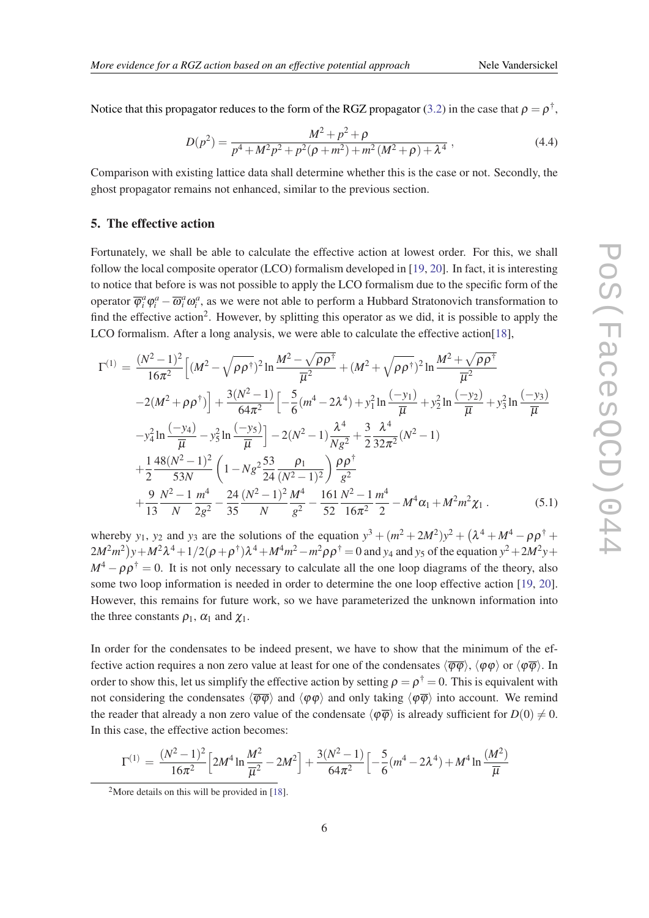<span id="page-5-0"></span>Notice that this propagator reduces to the form of the RGZ propagator ([3.2\)](#page-3-0) in the case that  $\rho = \rho^{\dagger}$ ,

$$
D(p^2) = \frac{M^2 + p^2 + \rho}{p^4 + M^2 p^2 + p^2 (\rho + m^2) + m^2 (M^2 + \rho) + \lambda^4},
$$
\n(4.4)

Comparison with existing lattice data shall determine whether this is the case or not. Secondly, the ghost propagator remains not enhanced, similar to the previous section.

### 5. The effective action

Fortunately, we shall be able to calculate the effective action at lowest order. For this, we shall follow the local composite operator (LCO) formalism developed in [[19,](#page-7-0) [20\]](#page-7-0). In fact, it is interesting to notice that before is was not possible to apply the LCO formalism due to the specific form of the operator  $\overline{\varphi}_i^a \varphi_i^a - \overline{\omega}_i^a \omega_i^a$ , as we were not able to perform a Hubbard Stratonovich transformation to find the effective action<sup>2</sup>. However, by splitting this operator as we did, it is possible to apply the LCO formalism. After a long analysis, we were able to calculate the effective action[\[18](#page-7-0)],

$$
\Gamma^{(1)} = \frac{(N^2 - 1)^2}{16\pi^2} \Big[ (M^2 - \sqrt{\rho \rho^{\dagger}})^2 \ln \frac{M^2 - \sqrt{\rho \rho^{\dagger}}}{\overline{\mu}^2} + (M^2 + \sqrt{\rho \rho^{\dagger}})^2 \ln \frac{M^2 + \sqrt{\rho \rho^{\dagger}}}{\overline{\mu}^2} \n-2(M^2 + \rho \rho^{\dagger}) \Big] + \frac{3(N^2 - 1)}{64\pi^2} \Big[ -\frac{5}{6} (m^4 - 2\lambda^4) + y_1^2 \ln \frac{(-y_1)}{\overline{\mu}} + y_2^2 \ln \frac{(-y_2)}{\overline{\mu}} + y_3^2 \ln \frac{(-y_3)}{\overline{\mu}} \n-y_4^2 \ln \frac{(-y_4)}{\overline{\mu}} - y_5^2 \ln \frac{(-y_5)}{\overline{\mu}} \Big] - 2(N^2 - 1) \frac{\lambda^4}{Ng^2} + \frac{3}{2} \frac{\lambda^4}{32\pi^2} (N^2 - 1) \n+ \frac{1}{2} \frac{48(N^2 - 1)^2}{53N} \Big( 1 - Ng^2 \frac{53}{24} \frac{\rho_1}{(N^2 - 1)^2} \Big) \frac{\rho \rho^{\dagger}}{g^2} \n+ \frac{9}{13} \frac{N^2 - 1}{N} \frac{m^4}{2g^2} - \frac{24}{35} \frac{(N^2 - 1)^2}{N} \frac{M^4}{g^2} - \frac{161}{52} \frac{N^2 - 1}{16\pi^2} \frac{m^4}{2} - M^4 \alpha_1 + M^2 m^2 \chi_1.
$$
\n(5.1)

whereby  $y_1$ ,  $y_2$  and  $y_3$  are the solutions of the equation  $y^3 + (m^2 + 2M^2)y^2 + (\lambda^4 + M^4 - \rho \rho^{\dagger} +$  $(2M^2m^2)y + M^2\lambda^4 + 1/2(\rho + \rho^{\dagger})\lambda^4 + M^4m^2 - m^2\rho\rho^{\dagger} = 0$  and  $y_4$  and  $y_5$  of the equation  $y^2 + 2M^2y + 1/2\rho^2$  $M^4 - \rho \rho^{\dagger} = 0$ . It is not only necessary to calculate all the one loop diagrams of the theory, also some two loop information is needed in order to determine the one loop effective action [[19,](#page-7-0) [20\]](#page-7-0). However, this remains for future work, so we have parameterized the unknown information into the three constants  $\rho_1$ ,  $\alpha_1$  and  $\chi_1$ .

In order for the condensates to be indeed present, we have to show that the minimum of the effective action requires a non zero value at least for one of the condensates  $\langle \overline{\phi}\phi \rangle$ ,  $\langle \phi\phi \rangle$  or  $\langle \phi\overline{\phi} \rangle$ . In order to show this, let us simplify the effective action by setting  $\rho = \rho^{\dagger} = 0$ . This is equivalent with not considering the condensates  $\langle \overline{\phi\phi} \rangle$  and  $\langle \phi\phi \rangle$  and only taking  $\langle \phi\overline{\phi} \rangle$  into account. We remind the reader that already a non zero value of the condensate  $\langle \varphi \overline{\varphi} \rangle$  is already sufficient for  $D(0) \neq 0$ . In this case, the effective action becomes:

$$
\Gamma^{(1)} = \frac{(N^2 - 1)^2}{16\pi^2} \left[ 2M^4 \ln \frac{M^2}{\overline{\mu}^2} - 2M^2 \right] + \frac{3(N^2 - 1)}{64\pi^2} \left[ -\frac{5}{6} (m^4 - 2\lambda^4) + M^4 \ln \frac{(M^2)}{\overline{\mu}}
$$

<sup>&</sup>lt;sup>2</sup>More details on this will be provided in [\[18](#page-7-0)].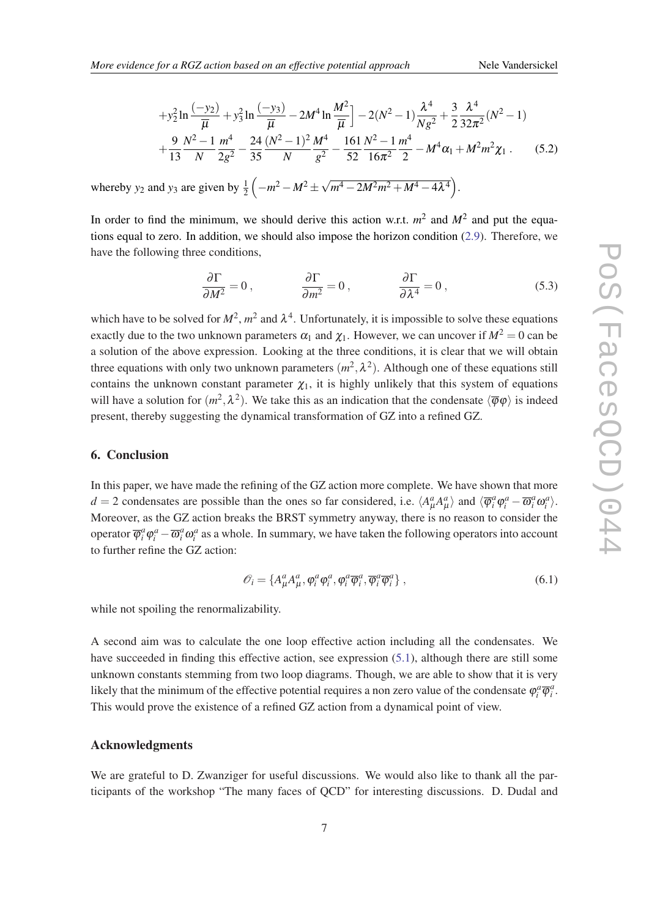$$
+y_2^2 \ln \frac{(-y_2)}{\overline{\mu}} + y_3^2 \ln \frac{(-y_3)}{\overline{\mu}} - 2M^4 \ln \frac{M^2}{\overline{\mu}}\bigg] - 2(N^2 - 1)\frac{\lambda^4}{Ng^2} + \frac{3}{2}\frac{\lambda^4}{32\pi^2}(N^2 - 1) + \frac{9}{13}\frac{N^2 - 1}{N}\frac{m^4}{2g^2} - \frac{24}{35}\frac{(N^2 - 1)^2}{N}\frac{M^4}{g^2} - \frac{161}{52}\frac{N^2 - 1}{16\pi^2}\frac{m^4}{2} - M^4\alpha_1 + M^2m^2\chi_1. \tag{5.2}
$$

whereby  $y_2$  and  $y_3$  are given by  $\frac{1}{2}(-m^2 - M^2 \pm \sqrt{2m^2 + 4m^2})$  $\left(m^4 - 2M^2m^2 + M^4 - 4\lambda^4\right).$ 

In order to find the minimum, we should derive this action w.r.t.  $m^2$  and  $M^2$  and put the equations equal to zero. In addition, we should also impose the horizon condition ([2.9](#page-2-0)). Therefore, we have the following three conditions,

$$
\frac{\partial \Gamma}{\partial M^2} = 0, \qquad \frac{\partial \Gamma}{\partial m^2} = 0, \qquad \frac{\partial \Gamma}{\partial \lambda^4} = 0, \qquad (5.3)
$$

which have to be solved for  $M^2$ ,  $m^2$  and  $\lambda^4$ . Unfortunately, it is impossible to solve these equations exactly due to the two unknown parameters  $\alpha_1$  and  $\chi_1$ . However, we can uncover if  $M^2 = 0$  can be a solution of the above expression. Looking at the three conditions, it is clear that we will obtain three equations with only two unknown parameters  $(m^2, \lambda^2)$ . Although one of these equations still contains the unknown constant parameter  $\chi_1$ , it is highly unlikely that this system of equations will have a solution for  $(m^2, \lambda^2)$ . We take this as an indication that the condensate  $\langle \overline{\varphi} \varphi \rangle$  is indeed present, thereby suggesting the dynamical transformation of GZ into a refined GZ.

#### 6. Conclusion

In this paper, we have made the refining of the GZ action more complete. We have shown that more *d* = 2 condensates are possible than the ones so far considered, i.e.  $\langle A^a_\mu A^a_\mu \rangle$  and  $\langle \overline{\varphi}^a_i \varphi^a_i - \overline{\omega}^a_i \omega^a_i \rangle$ . Moreover, as the GZ action breaks the BRST symmetry anyway, there is no reason to consider the operator  $\overline{\varphi}_i^a \varphi_i^a - \overline{\omega}_i^a \omega_i^a$  as a whole. In summary, we have taken the following operators into account to further refine the GZ action:

$$
\mathcal{O}_i = \{A^a_\mu A^a_\mu, \varphi^a_i \varphi^a_i, \varphi^a_i \overline{\varphi}^a_i, \overline{\varphi}^a_i \overline{\varphi}^a_i\},\tag{6.1}
$$

while not spoiling the renormalizability.

A second aim was to calculate the one loop effective action including all the condensates. We have succeeded in finding this effective action, see expression [\(5.1\)](#page-5-0), although there are still some unknown constants stemming from two loop diagrams. Though, we are able to show that it is very likely that the minimum of the effective potential requires a non zero value of the condensate  $\varphi_i^a \overline{\varphi}_i^a$ . This would prove the existence of a refined GZ action from a dynamical point of view.

#### Acknowledgments

We are grateful to D. Zwanziger for useful discussions. We would also like to thank all the participants of the workshop "The many faces of QCD" for interesting discussions. D. Dudal and